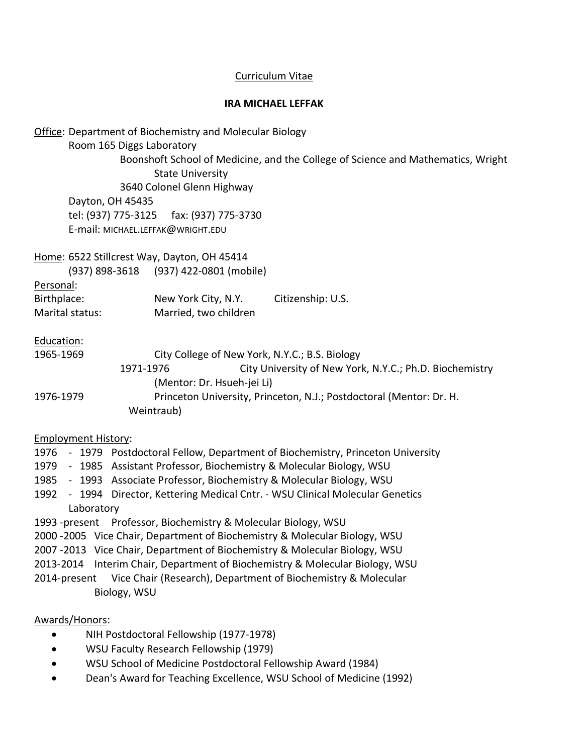# Curriculum Vitae

#### **IRA MICHAEL LEFFAK**

| <b>Office: Department of Biochemistry and Molecular Biology</b><br>Room 165 Diggs Laboratory<br>Boonshoft School of Medicine, and the College of Science and Mathematics, Wright<br><b>State University</b><br>3640 Colonel Glenn Highway<br>Dayton, OH 45435<br>tel: (937) 775-3125<br>fax: (937) 775-3730<br>E-mail: MICHAEL.LEFFAK@WRIGHT.EDU |                                                |                                                                                   |  |  |  |
|--------------------------------------------------------------------------------------------------------------------------------------------------------------------------------------------------------------------------------------------------------------------------------------------------------------------------------------------------|------------------------------------------------|-----------------------------------------------------------------------------------|--|--|--|
|                                                                                                                                                                                                                                                                                                                                                  | Home: 6522 Stillcrest Way, Dayton, OH 45414    |                                                                                   |  |  |  |
|                                                                                                                                                                                                                                                                                                                                                  | (937) 898-3618 (937) 422-0801 (mobile)         |                                                                                   |  |  |  |
| Personal:                                                                                                                                                                                                                                                                                                                                        |                                                |                                                                                   |  |  |  |
| Birthplace:<br>Marital status:                                                                                                                                                                                                                                                                                                                   | New York City, N.Y.<br>Married, two children   | Citizenship: U.S.                                                                 |  |  |  |
|                                                                                                                                                                                                                                                                                                                                                  |                                                |                                                                                   |  |  |  |
| Education:                                                                                                                                                                                                                                                                                                                                       |                                                |                                                                                   |  |  |  |
| 1965-1969                                                                                                                                                                                                                                                                                                                                        | City College of New York, N.Y.C.; B.S. Biology |                                                                                   |  |  |  |
|                                                                                                                                                                                                                                                                                                                                                  | 1971-1976                                      | City University of New York, N.Y.C.; Ph.D. Biochemistry                           |  |  |  |
|                                                                                                                                                                                                                                                                                                                                                  | (Mentor: Dr. Hsueh-jei Li)                     |                                                                                   |  |  |  |
| 1976-1979                                                                                                                                                                                                                                                                                                                                        |                                                | Princeton University, Princeton, N.J.; Postdoctoral (Mentor: Dr. H.               |  |  |  |
|                                                                                                                                                                                                                                                                                                                                                  | Weintraub)                                     |                                                                                   |  |  |  |
| <b>Employment History:</b>                                                                                                                                                                                                                                                                                                                       |                                                |                                                                                   |  |  |  |
|                                                                                                                                                                                                                                                                                                                                                  |                                                | 1976 - 1979 Postdoctoral Fellow, Department of Biochemistry, Princeton University |  |  |  |
| 1979 - 1985 Assistant Professor, Biochemistry & Molecular Biology, WSU                                                                                                                                                                                                                                                                           |                                                |                                                                                   |  |  |  |
| 1985 - 1993 Associate Professor, Biochemistry & Molecular Biology, WSU                                                                                                                                                                                                                                                                           |                                                |                                                                                   |  |  |  |
| 1992 - 1994 Director, Kettering Medical Cntr. - WSU Clinical Molecular Genetics                                                                                                                                                                                                                                                                  |                                                |                                                                                   |  |  |  |
| Laboratory                                                                                                                                                                                                                                                                                                                                       |                                                |                                                                                   |  |  |  |
| 1993 - present Professor, Biochemistry & Molecular Biology, WSU                                                                                                                                                                                                                                                                                  |                                                |                                                                                   |  |  |  |
| 2000 -2005 Vice Chair, Department of Biochemistry & Molecular Biology, WSU                                                                                                                                                                                                                                                                       |                                                |                                                                                   |  |  |  |
| 2007 -2013 Vice Chair, Department of Biochemistry & Molecular Biology, WSU                                                                                                                                                                                                                                                                       |                                                |                                                                                   |  |  |  |
| 2013-2014 Interim Chair, Department of Biochemistry & Molecular Biology, WSU<br>Vice Chair (Research), Department of Biochemistry & Molecular<br>2014-present                                                                                                                                                                                    |                                                |                                                                                   |  |  |  |
| Biology, WSU                                                                                                                                                                                                                                                                                                                                     |                                                |                                                                                   |  |  |  |
|                                                                                                                                                                                                                                                                                                                                                  |                                                |                                                                                   |  |  |  |

# Awards/Honors:

- NIH Postdoctoral Fellowship (1977-1978)
- WSU Faculty Research Fellowship (1979)
- WSU School of Medicine Postdoctoral Fellowship Award (1984)
- Dean's Award for Teaching Excellence, WSU School of Medicine (1992)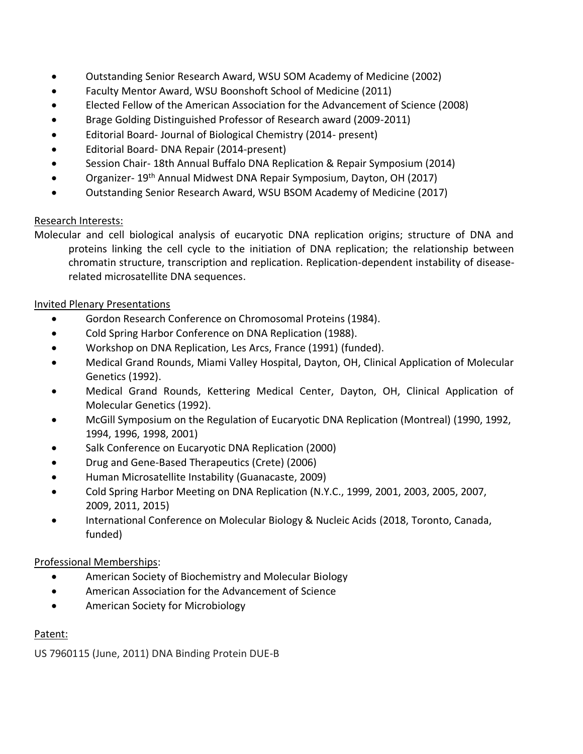- Outstanding Senior Research Award, WSU SOM Academy of Medicine (2002)
- Faculty Mentor Award, WSU Boonshoft School of Medicine (2011)
- Elected Fellow of the American Association for the Advancement of Science (2008)
- Brage Golding Distinguished Professor of Research award (2009-2011)
- Editorial Board- Journal of Biological Chemistry (2014- present)
- Editorial Board- DNA Repair (2014-present)
- Session Chair- 18th Annual Buffalo DNA Replication & Repair Symposium (2014)
- Organizer- 19<sup>th</sup> Annual Midwest DNA Repair Symposium, Dayton, OH (2017)
- Outstanding Senior Research Award, WSU BSOM Academy of Medicine (2017)

# Research Interests:

Molecular and cell biological analysis of eucaryotic DNA replication origins; structure of DNA and proteins linking the cell cycle to the initiation of DNA replication; the relationship between chromatin structure, transcription and replication. Replication-dependent instability of diseaserelated microsatellite DNA sequences.

### Invited Plenary Presentations

- Gordon Research Conference on Chromosomal Proteins (1984).
- Cold Spring Harbor Conference on DNA Replication (1988).
- Workshop on DNA Replication, Les Arcs, France (1991) (funded).
- Medical Grand Rounds, Miami Valley Hospital, Dayton, OH, Clinical Application of Molecular Genetics (1992).
- Medical Grand Rounds, Kettering Medical Center, Dayton, OH, Clinical Application of Molecular Genetics (1992).
- McGill Symposium on the Regulation of Eucaryotic DNA Replication (Montreal) (1990, 1992, 1994, 1996, 1998, 2001)
- Salk Conference on Eucaryotic DNA Replication (2000)
- Drug and Gene-Based Therapeutics (Crete) (2006)
- Human Microsatellite Instability (Guanacaste, 2009)
- Cold Spring Harbor Meeting on DNA Replication (N.Y.C., 1999, 2001, 2003, 2005, 2007, 2009, 2011, 2015)
- International Conference on Molecular Biology & Nucleic Acids (2018, Toronto, Canada, funded)

# Professional Memberships:

- American Society of Biochemistry and Molecular Biology
- American Association for the Advancement of Science
- American Society for Microbiology

# Patent:

US 7960115 (June, 2011) DNA Binding Protein DUE-B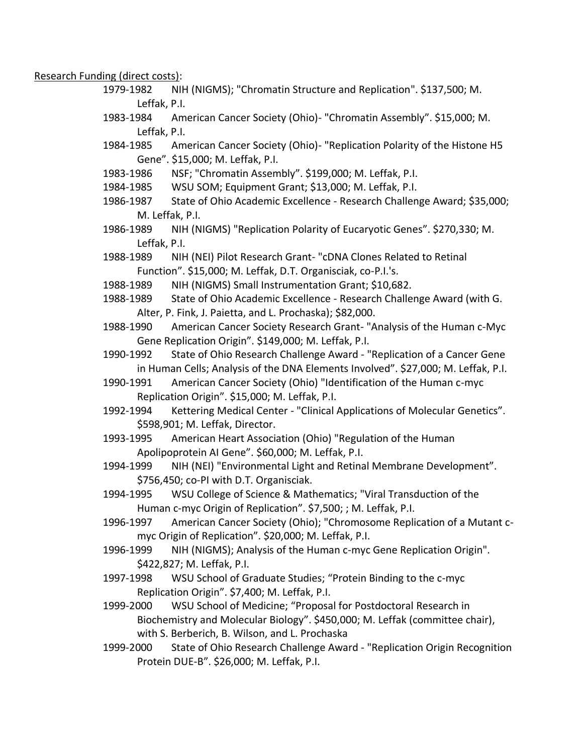Research Funding (direct costs):

- 1979-1982 NIH (NIGMS); "Chromatin Structure and Replication". \$137,500; M. Leffak, P.I.
- 1983-1984 American Cancer Society (Ohio)- "Chromatin Assembly". \$15,000; M. Leffak, P.I.
- 1984-1985 American Cancer Society (Ohio)- "Replication Polarity of the Histone H5 Gene". \$15,000; M. Leffak, P.I.
- 1983-1986 NSF; "Chromatin Assembly". \$199,000; M. Leffak, P.I.
- 1984-1985 WSU SOM; Equipment Grant; \$13,000; M. Leffak, P.I.
- 1986-1987 State of Ohio Academic Excellence Research Challenge Award; \$35,000; M. Leffak, P.I.
- 1986-1989 NIH (NIGMS) "Replication Polarity of Eucaryotic Genes". \$270,330; M. Leffak, P.I.
- 1988-1989 NIH (NEI) Pilot Research Grant- "cDNA Clones Related to Retinal Function". \$15,000; M. Leffak, D.T. Organisciak, co-P.I.'s.
- 1988-1989 NIH (NIGMS) Small Instrumentation Grant; \$10,682.
- 1988-1989 State of Ohio Academic Excellence Research Challenge Award (with G. Alter, P. Fink, J. Paietta, and L. Prochaska); \$82,000.
- 1988-1990 American Cancer Society Research Grant- "Analysis of the Human c-Myc Gene Replication Origin". \$149,000; M. Leffak, P.I.
- 1990-1992 State of Ohio Research Challenge Award "Replication of a Cancer Gene in Human Cells; Analysis of the DNA Elements Involved". \$27,000; M. Leffak, P.I.
- 1990-1991 American Cancer Society (Ohio) "Identification of the Human c-myc Replication Origin". \$15,000; M. Leffak, P.I.
- 1992-1994 Kettering Medical Center "Clinical Applications of Molecular Genetics". \$598,901; M. Leffak, Director.
- 1993-1995 American Heart Association (Ohio) "Regulation of the Human Apolipoprotein AI Gene". \$60,000; M. Leffak, P.I.
- 1994-1999 NIH (NEI) "Environmental Light and Retinal Membrane Development". \$756,450; co-PI with D.T. Organisciak.
- 1994-1995 WSU College of Science & Mathematics; "Viral Transduction of the Human c-myc Origin of Replication". \$7,500; ; M. Leffak, P.I.
- 1996-1997 American Cancer Society (Ohio); "Chromosome Replication of a Mutant cmyc Origin of Replication". \$20,000; M. Leffak, P.I.
- 1996-1999 NIH (NIGMS); Analysis of the Human c-myc Gene Replication Origin". \$422,827; M. Leffak, P.I.
- 1997-1998 WSU School of Graduate Studies; "Protein Binding to the c-myc Replication Origin". \$7,400; M. Leffak, P.I.
- 1999-2000 WSU School of Medicine; "Proposal for Postdoctoral Research in Biochemistry and Molecular Biology". \$450,000; M. Leffak (committee chair), with S. Berberich, B. Wilson, and L. Prochaska
- 1999-2000 State of Ohio Research Challenge Award "Replication Origin Recognition Protein DUE-B". \$26,000; M. Leffak, P.I.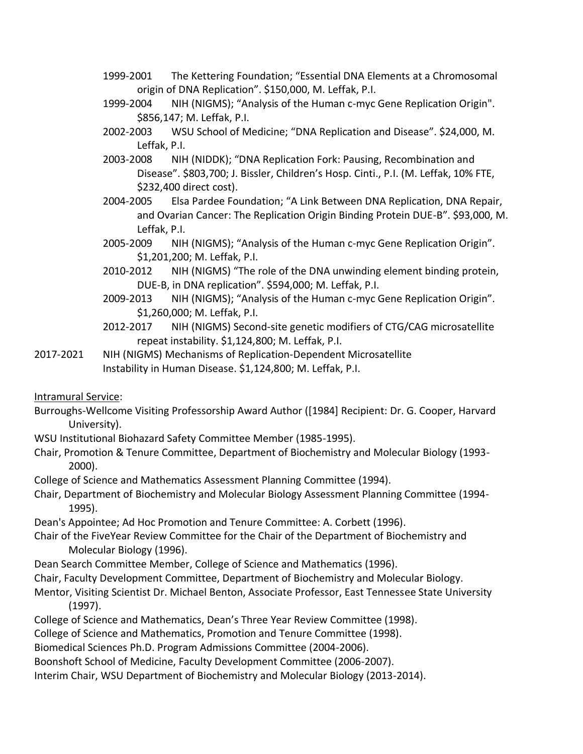- 1999-2001 The Kettering Foundation; "Essential DNA Elements at a Chromosomal origin of DNA Replication". \$150,000, M. Leffak, P.I.
- 1999-2004 NIH (NIGMS); "Analysis of the Human c-myc Gene Replication Origin". \$856,147; M. Leffak, P.I.
- 2002-2003 WSU School of Medicine; "DNA Replication and Disease". \$24,000, M. Leffak, P.I.
- 2003-2008 NIH (NIDDK); "DNA Replication Fork: Pausing, Recombination and Disease". \$803,700; J. Bissler, Children's Hosp. Cinti., P.I. (M. Leffak, 10% FTE, \$232,400 direct cost).
- 2004-2005 Elsa Pardee Foundation; "A Link Between DNA Replication, DNA Repair, and Ovarian Cancer: The Replication Origin Binding Protein DUE-B". \$93,000, M. Leffak, P.I.
- 2005-2009 NIH (NIGMS); "Analysis of the Human c-myc Gene Replication Origin". \$1,201,200; M. Leffak, P.I.
- 2010-2012 NIH (NIGMS) "The role of the DNA unwinding element binding protein, DUE-B, in DNA replication". \$594,000; M. Leffak, P.I.
- 2009-2013 NIH (NIGMS); "Analysis of the Human c-myc Gene Replication Origin". \$1,260,000; M. Leffak, P.I.
- 2012-2017 NIH (NIGMS) Second-site genetic modifiers of CTG/CAG microsatellite repeat instability. \$1,124,800; M. Leffak, P.I.
- 2017-2021 NIH (NIGMS) Mechanisms of Replication-Dependent Microsatellite Instability in Human Disease. \$1,124,800; M. Leffak, P.I.

Intramural Service:

- Burroughs-Wellcome Visiting Professorship Award Author ([1984] Recipient: Dr. G. Cooper, Harvard University).
- WSU Institutional Biohazard Safety Committee Member (1985-1995).
- Chair, Promotion & Tenure Committee, Department of Biochemistry and Molecular Biology (1993- 2000).
- College of Science and Mathematics Assessment Planning Committee (1994).
- Chair, Department of Biochemistry and Molecular Biology Assessment Planning Committee (1994- 1995).
- Dean's Appointee; Ad Hoc Promotion and Tenure Committee: A. Corbett (1996).
- Chair of the FiveYear Review Committee for the Chair of the Department of Biochemistry and Molecular Biology (1996).
- Dean Search Committee Member, College of Science and Mathematics (1996).
- Chair, Faculty Development Committee, Department of Biochemistry and Molecular Biology.
- Mentor, Visiting Scientist Dr. Michael Benton, Associate Professor, East Tennessee State University (1997).
- College of Science and Mathematics, Dean's Three Year Review Committee (1998).
- College of Science and Mathematics, Promotion and Tenure Committee (1998).
- Biomedical Sciences Ph.D. Program Admissions Committee (2004-2006).
- Boonshoft School of Medicine, Faculty Development Committee (2006-2007).
- Interim Chair, WSU Department of Biochemistry and Molecular Biology (2013-2014).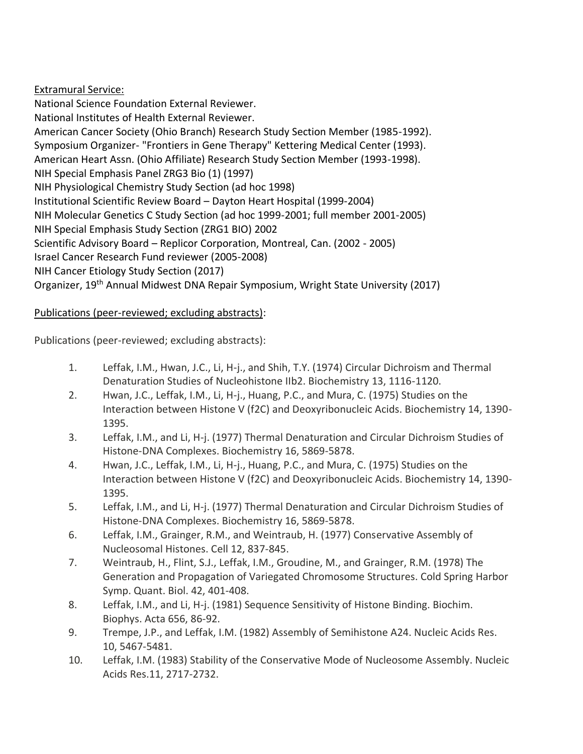Extramural Service: National Science Foundation External Reviewer. National Institutes of Health External Reviewer. American Cancer Society (Ohio Branch) Research Study Section Member (1985-1992). Symposium Organizer- "Frontiers in Gene Therapy" Kettering Medical Center (1993). American Heart Assn. (Ohio Affiliate) Research Study Section Member (1993-1998). NIH Special Emphasis Panel ZRG3 Bio (1) (1997) NIH Physiological Chemistry Study Section (ad hoc 1998) Institutional Scientific Review Board – Dayton Heart Hospital (1999-2004) NIH Molecular Genetics C Study Section (ad hoc 1999-2001; full member 2001-2005) NIH Special Emphasis Study Section (ZRG1 BIO) 2002 Scientific Advisory Board – Replicor Corporation, Montreal, Can. (2002 - 2005) Israel Cancer Research Fund reviewer (2005-2008) NIH Cancer Etiology Study Section (2017) Organizer, 19th Annual Midwest DNA Repair Symposium, Wright State University (2017)

# Publications (peer-reviewed; excluding abstracts):

Publications (peer-reviewed; excluding abstracts):

- 1. Leffak, I.M., Hwan, J.C., Li, H-j., and Shih, T.Y. (1974) Circular Dichroism and Thermal Denaturation Studies of Nucleohistone IIb2. Biochemistry 13, 1116-1120.
- 2. Hwan, J.C., Leffak, I.M., Li, H-j., Huang, P.C., and Mura, C. (1975) Studies on the Interaction between Histone V (f2C) and Deoxyribonucleic Acids. Biochemistry 14, 1390- 1395.
- 3. Leffak, I.M., and Li, H-j. (1977) Thermal Denaturation and Circular Dichroism Studies of Histone-DNA Complexes. Biochemistry 16, 5869-5878.
- 4. Hwan, J.C., Leffak, I.M., Li, H-j., Huang, P.C., and Mura, C. (1975) Studies on the Interaction between Histone V (f2C) and Deoxyribonucleic Acids. Biochemistry 14, 1390- 1395.
- 5. Leffak, I.M., and Li, H-j. (1977) Thermal Denaturation and Circular Dichroism Studies of Histone-DNA Complexes. Biochemistry 16, 5869-5878.
- 6. Leffak, I.M., Grainger, R.M., and Weintraub, H. (1977) Conservative Assembly of Nucleosomal Histones. Cell 12, 837-845.
- 7. Weintraub, H., Flint, S.J., Leffak, I.M., Groudine, M., and Grainger, R.M. (1978) The Generation and Propagation of Variegated Chromosome Structures. Cold Spring Harbor Symp. Quant. Biol. 42, 401-408.
- 8. Leffak, I.M., and Li, H-j. (1981) Sequence Sensitivity of Histone Binding. Biochim. Biophys. Acta 656, 86-92.
- 9. Trempe, J.P., and Leffak, I.M. (1982) Assembly of Semihistone A24. Nucleic Acids Res. 10, 5467-5481.
- 10. Leffak, I.M. (1983) Stability of the Conservative Mode of Nucleosome Assembly. Nucleic Acids Res.11, 2717-2732.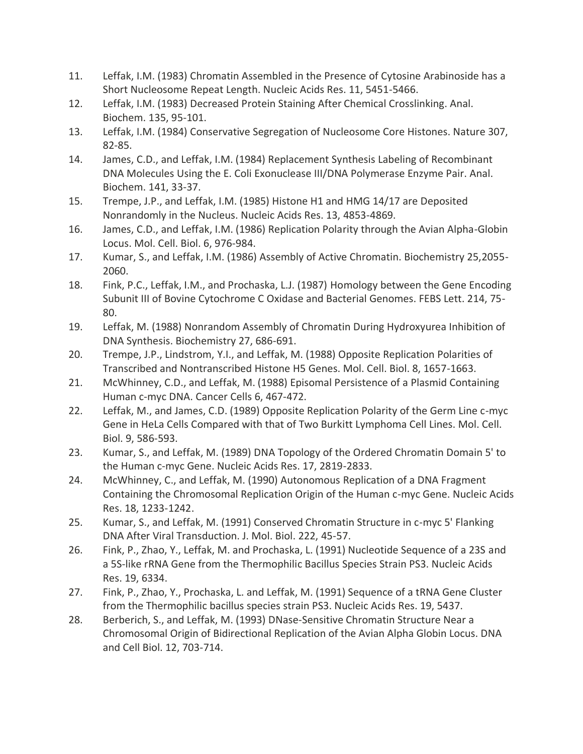- 11. Leffak, I.M. (1983) Chromatin Assembled in the Presence of Cytosine Arabinoside has a Short Nucleosome Repeat Length. Nucleic Acids Res. 11, 5451-5466.
- 12. Leffak, I.M. (1983) Decreased Protein Staining After Chemical Crosslinking. Anal. Biochem. 135, 95-101.
- 13. Leffak, I.M. (1984) Conservative Segregation of Nucleosome Core Histones. Nature 307, 82-85.
- 14. James, C.D., and Leffak, I.M. (1984) Replacement Synthesis Labeling of Recombinant DNA Molecules Using the E. Coli Exonuclease III/DNA Polymerase Enzyme Pair. Anal. Biochem. 141, 33-37.
- 15. Trempe, J.P., and Leffak, I.M. (1985) Histone H1 and HMG 14/17 are Deposited Nonrandomly in the Nucleus. Nucleic Acids Res. 13, 4853-4869.
- 16. James, C.D., and Leffak, I.M. (1986) Replication Polarity through the Avian Alpha-Globin Locus. Mol. Cell. Biol. 6, 976-984.
- 17. Kumar, S., and Leffak, I.M. (1986) Assembly of Active Chromatin. Biochemistry 25,2055- 2060.
- 18. Fink, P.C., Leffak, I.M., and Prochaska, L.J. (1987) Homology between the Gene Encoding Subunit III of Bovine Cytochrome C Oxidase and Bacterial Genomes. FEBS Lett. 214, 75- 80.
- 19. Leffak, M. (1988) Nonrandom Assembly of Chromatin During Hydroxyurea Inhibition of DNA Synthesis. Biochemistry 27, 686-691.
- 20. Trempe, J.P., Lindstrom, Y.I., and Leffak, M. (1988) Opposite Replication Polarities of Transcribed and Nontranscribed Histone H5 Genes. Mol. Cell. Biol. 8, 1657-1663.
- 21. McWhinney, C.D., and Leffak, M. (1988) Episomal Persistence of a Plasmid Containing Human c-myc DNA. Cancer Cells 6, 467-472.
- 22. Leffak, M., and James, C.D. (1989) Opposite Replication Polarity of the Germ Line c-myc Gene in HeLa Cells Compared with that of Two Burkitt Lymphoma Cell Lines. Mol. Cell. Biol. 9, 586-593.
- 23. Kumar, S., and Leffak, M. (1989) DNA Topology of the Ordered Chromatin Domain 5' to the Human c-myc Gene. Nucleic Acids Res. 17, 2819-2833.
- 24. McWhinney, C., and Leffak, M. (1990) Autonomous Replication of a DNA Fragment Containing the Chromosomal Replication Origin of the Human c-myc Gene. Nucleic Acids Res. 18, 1233-1242.
- 25. Kumar, S., and Leffak, M. (1991) Conserved Chromatin Structure in c-myc 5' Flanking DNA After Viral Transduction. J. Mol. Biol. 222, 45-57.
- 26. Fink, P., Zhao, Y., Leffak, M. and Prochaska, L. (1991) Nucleotide Sequence of a 23S and a 5S-like rRNA Gene from the Thermophilic Bacillus Species Strain PS3. Nucleic Acids Res. 19, 6334.
- 27. Fink, P., Zhao, Y., Prochaska, L. and Leffak, M. (1991) Sequence of a tRNA Gene Cluster from the Thermophilic bacillus species strain PS3. Nucleic Acids Res. 19, 5437.
- 28. Berberich, S., and Leffak, M. (1993) DNase-Sensitive Chromatin Structure Near a Chromosomal Origin of Bidirectional Replication of the Avian Alpha Globin Locus. DNA and Cell Biol. 12, 703-714.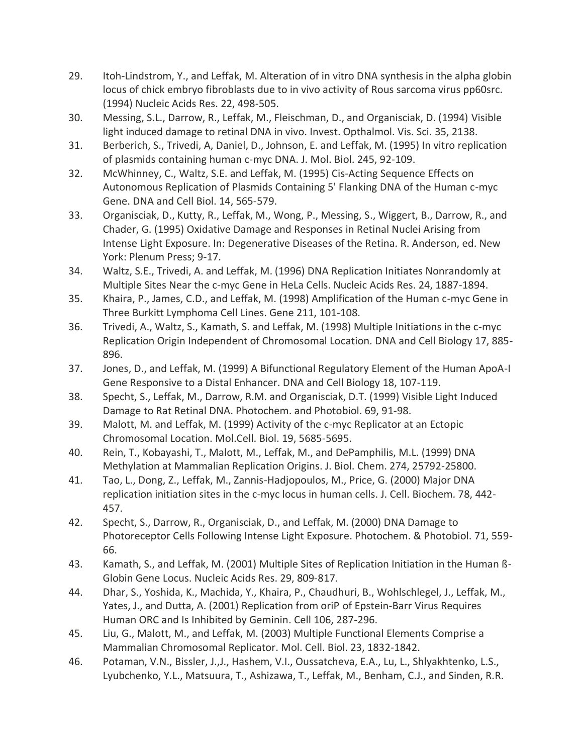- 29. Itoh-Lindstrom, Y., and Leffak, M. Alteration of in vitro DNA synthesis in the alpha globin locus of chick embryo fibroblasts due to in vivo activity of Rous sarcoma virus pp60src. (1994) Nucleic Acids Res. 22, 498-505.
- 30. Messing, S.L., Darrow, R., Leffak, M., Fleischman, D., and Organisciak, D. (1994) Visible light induced damage to retinal DNA in vivo. Invest. Opthalmol. Vis. Sci. 35, 2138.
- 31. Berberich, S., Trivedi, A, Daniel, D., Johnson, E. and Leffak, M. (1995) In vitro replication of plasmids containing human c-myc DNA. J. Mol. Biol. 245, 92-109.
- 32. McWhinney, C., Waltz, S.E. and Leffak, M. (1995) Cis-Acting Sequence Effects on Autonomous Replication of Plasmids Containing 5' Flanking DNA of the Human c-myc Gene. DNA and Cell Biol. 14, 565-579.
- 33. Organisciak, D., Kutty, R., Leffak, M., Wong, P., Messing, S., Wiggert, B., Darrow, R., and Chader, G. (1995) Oxidative Damage and Responses in Retinal Nuclei Arising from Intense Light Exposure. In: Degenerative Diseases of the Retina. R. Anderson, ed. New York: Plenum Press; 9-17.
- 34. Waltz, S.E., Trivedi, A. and Leffak, M. (1996) DNA Replication Initiates Nonrandomly at Multiple Sites Near the c-myc Gene in HeLa Cells. Nucleic Acids Res. 24, 1887-1894.
- 35. Khaira, P., James, C.D., and Leffak, M. (1998) Amplification of the Human c-myc Gene in Three Burkitt Lymphoma Cell Lines. Gene 211, 101-108.
- 36. Trivedi, A., Waltz, S., Kamath, S. and Leffak, M. (1998) Multiple Initiations in the c-myc Replication Origin Independent of Chromosomal Location. DNA and Cell Biology 17, 885- 896.
- 37. Jones, D., and Leffak, M. (1999) A Bifunctional Regulatory Element of the Human ApoA-I Gene Responsive to a Distal Enhancer. DNA and Cell Biology 18, 107-119.
- 38. Specht, S., Leffak, M., Darrow, R.M. and Organisciak, D.T. (1999) Visible Light Induced Damage to Rat Retinal DNA. Photochem. and Photobiol. 69, 91-98.
- 39. Malott, M. and Leffak, M. (1999) Activity of the c-myc Replicator at an Ectopic Chromosomal Location. Mol.Cell. Biol. 19, 5685-5695.
- 40. Rein, T., Kobayashi, T., Malott, M., Leffak, M., and DePamphilis, M.L. (1999) DNA Methylation at Mammalian Replication Origins. J. Biol. Chem. 274, 25792-25800.
- 41. Tao, L., Dong, Z., Leffak, M., Zannis-Hadjopoulos, M., Price, G. (2000) Major DNA replication initiation sites in the c-myc locus in human cells. J. Cell. Biochem. 78, 442- 457.
- 42. Specht, S., Darrow, R., Organisciak, D., and Leffak, M. (2000) DNA Damage to Photoreceptor Cells Following Intense Light Exposure. Photochem. & Photobiol. 71, 559- 66.
- 43. Kamath, S., and Leffak, M. (2001) Multiple Sites of Replication Initiation in the Human ß-Globin Gene Locus. Nucleic Acids Res. 29, 809-817.
- 44. Dhar, S., Yoshida, K., Machida, Y., Khaira, P., Chaudhuri, B., Wohlschlegel, J., Leffak, M., Yates, J., and Dutta, A. (2001) Replication from oriP of Epstein-Barr Virus Requires Human ORC and Is Inhibited by Geminin. Cell 106, 287-296.
- 45. Liu, G., Malott, M., and Leffak, M. (2003) Multiple Functional Elements Comprise a Mammalian Chromosomal Replicator. Mol. Cell. Biol. 23, 1832-1842.
- 46. Potaman, V.N., Bissler, J.,J., Hashem, V.I., Oussatcheva, E.A., Lu, L., Shlyakhtenko, L.S., Lyubchenko, Y.L., Matsuura, T., Ashizawa, T., Leffak, M., Benham, C.J., and Sinden, R.R.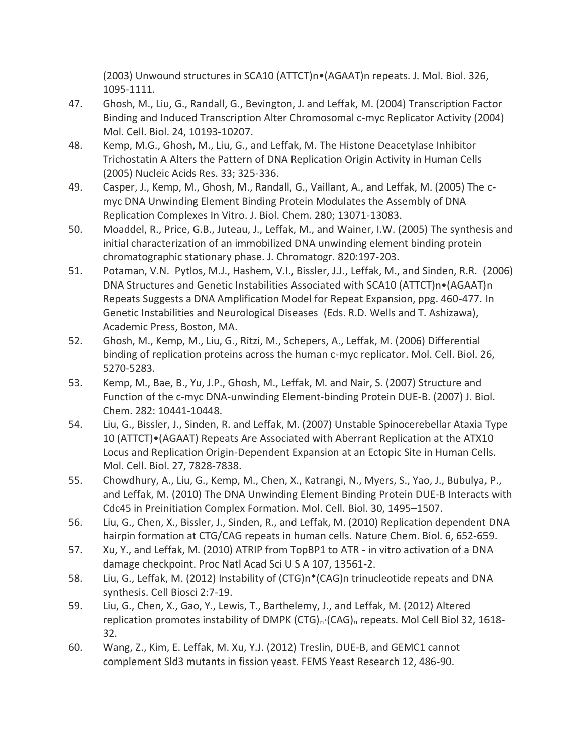(2003) Unwound structures in SCA10 (ATTCT)n•(AGAAT)n repeats. J. Mol. Biol. 326, 1095-1111.

- 47. Ghosh, M., Liu, G., Randall, G., Bevington, J. and Leffak, M. (2004) Transcription Factor Binding and Induced Transcription Alter Chromosomal c-myc Replicator Activity (2004) Mol. Cell. Biol. 24, 10193-10207.
- 48. Kemp, M.G., Ghosh, M., Liu, G., and Leffak, M. The Histone Deacetylase Inhibitor Trichostatin A Alters the Pattern of DNA Replication Origin Activity in Human Cells (2005) Nucleic Acids Res. 33; 325-336.
- 49. Casper, J., Kemp, M., Ghosh, M., Randall, G., Vaillant, A., and Leffak, M. (2005) The cmyc DNA Unwinding Element Binding Protein Modulates the Assembly of DNA Replication Complexes In Vitro. J. Biol. Chem. 280; 13071-13083.
- 50. Moaddel, R., Price, G.B., Juteau, J., Leffak, M., and Wainer, I.W. (2005) The synthesis and initial characterization of an immobilized DNA unwinding element binding protein chromatographic stationary phase. J. Chromatogr. 820:197-203.
- 51. Potaman, V.N. Pytlos, M.J., Hashem, V.I., Bissler, J.J., Leffak, M., and Sinden, R.R. (2006) DNA Structures and Genetic Instabilities Associated with SCA10 (ATTCT)n•(AGAAT)n Repeats Suggests a DNA Amplification Model for Repeat Expansion, ppg. 460-477. In Genetic Instabilities and Neurological Diseases (Eds. R.D. Wells and T. Ashizawa), Academic Press, Boston, MA.
- 52. Ghosh, M., Kemp, M., Liu, G., Ritzi, M., Schepers, A., Leffak, M. (2006) Differential binding of replication proteins across the human c-myc replicator. Mol. Cell. Biol. 26, 5270-5283.
- 53. Kemp, M., Bae, B., Yu, J.P., Ghosh, M., Leffak, M. and Nair, S. (2007) Structure and Function of the c-myc DNA-unwinding Element-binding Protein DUE-B. (2007) J. Biol. Chem. 282: 10441-10448.
- 54. Liu, G., Bissler, J., Sinden, R. and Leffak, M. (2007) Unstable Spinocerebellar Ataxia Type 10 (ATTCT)•(AGAAT) Repeats Are Associated with Aberrant Replication at the ATX10 Locus and Replication Origin-Dependent Expansion at an Ectopic Site in Human Cells. Mol. Cell. Biol. 27, 7828-7838.
- 55. Chowdhury, A., Liu, G., Kemp, M., Chen, X., Katrangi, N., Myers, S., Yao, J., Bubulya, P., and Leffak, M. (2010) The DNA Unwinding Element Binding Protein DUE-B Interacts with Cdc45 in Preinitiation Complex Formation. Mol. Cell. Biol. 30, 1495–1507.
- 56. Liu, G., Chen, X., Bissler, J., Sinden, R., and Leffak, M. (2010) Replication dependent DNA hairpin formation at CTG/CAG repeats in human cells. Nature Chem. Biol. 6, 652-659.
- 57. Xu, Y., and Leffak, M. (2010) ATRIP from TopBP1 to ATR in vitro activation of a DNA damage checkpoint. Proc Natl Acad Sci U S A 107, 13561-2.
- 58. Liu, G., Leffak, M. (2012) Instability of (CTG)n\*(CAG)n trinucleotide repeats and DNA synthesis. Cell Biosci 2:7-19.
- 59. Liu, G., Chen, X., Gao, Y., Lewis, T., Barthelemy, J., and Leffak, M. (2012) Altered replication promotes instability of DMPK (CTG)<sub>n</sub>·(CAG)<sub>n</sub> repeats. Mol Cell Biol 32, 1618-32.
- 60. Wang, Z., Kim, E. Leffak, M. Xu, Y.J. (2012) Treslin, DUE-B, and GEMC1 cannot complement Sld3 mutants in fission yeast. FEMS Yeast Research 12, 486-90.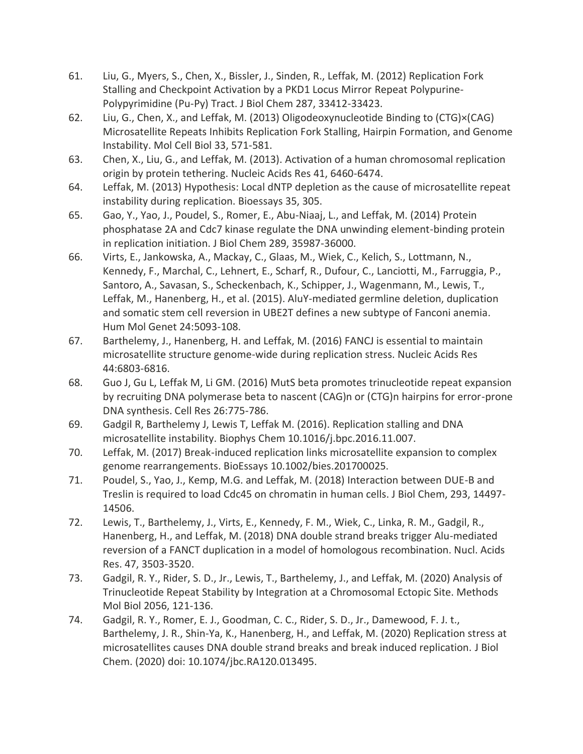- 61. Liu, G., Myers, S., Chen, X., Bissler, J., Sinden, R., Leffak, M. (2012) Replication Fork Stalling and Checkpoint Activation by a PKD1 Locus Mirror Repeat Polypurine-Polypyrimidine (Pu-Py) Tract. J Biol Chem 287, 33412-33423.
- 62. Liu, G., Chen, X., and Leffak, M. (2013) Oligodeoxynucleotide Binding to (CTG)×(CAG) Microsatellite Repeats Inhibits Replication Fork Stalling, Hairpin Formation, and Genome Instability. Mol Cell Biol 33, 571-581.
- 63. Chen, X., Liu, G., and Leffak, M. (2013). Activation of a human chromosomal replication origin by protein tethering. Nucleic Acids Res 41, 6460-6474.
- 64. Leffak, M. (2013) Hypothesis: Local dNTP depletion as the cause of microsatellite repeat instability during replication. Bioessays 35, 305.
- 65. Gao, Y., Yao, J., Poudel, S., Romer, E., Abu-Niaaj, L., and Leffak, M. (2014) Protein phosphatase 2A and Cdc7 kinase regulate the DNA unwinding element-binding protein in replication initiation. J Biol Chem 289, 35987-36000.
- 66. Virts, E., Jankowska, A., Mackay, C., Glaas, M., Wiek, C., Kelich, S., Lottmann, N., Kennedy, F., Marchal, C., Lehnert, E., Scharf, R., Dufour, C., Lanciotti, M., Farruggia, P., Santoro, A., Savasan, S., Scheckenbach, K., Schipper, J., Wagenmann, M., Lewis, T., Leffak, M., Hanenberg, H., et al. (2015). AluY-mediated germline deletion, duplication and somatic stem cell reversion in UBE2T defines a new subtype of Fanconi anemia. Hum Mol Genet 24:5093-108.
- 67. Barthelemy, J., Hanenberg, H. and Leffak, M. (2016) FANCJ is essential to maintain microsatellite structure genome-wide during replication stress. Nucleic Acids Res 44:6803-6816.
- 68. Guo J, Gu L, Leffak M, Li GM. (2016) MutS beta promotes trinucleotide repeat expansion by recruiting DNA polymerase beta to nascent (CAG)n or (CTG)n hairpins for error-prone DNA synthesis. Cell Res 26:775-786.
- 69. Gadgil R, Barthelemy J, Lewis T, Leffak M. (2016). Replication stalling and DNA microsatellite instability. Biophys Chem 10.1016/j.bpc.2016.11.007.
- 70. Leffak, M. (2017) Break-induced replication links microsatellite expansion to complex genome rearrangements. BioEssays 10.1002/bies.201700025.
- 71. Poudel, S., Yao, J., Kemp, M.G. and Leffak, M. (2018) Interaction between DUE-B and Treslin is required to load Cdc45 on chromatin in human cells. J Biol Chem, 293, 14497- 14506.
- 72. Lewis, T., Barthelemy, J., Virts, E., Kennedy, F. M., Wiek, C., Linka, R. M., Gadgil, R., Hanenberg, H., and Leffak, M. (2018) DNA double strand breaks trigger Alu-mediated reversion of a FANCT duplication in a model of homologous recombination. Nucl. Acids Res. 47, 3503-3520.
- 73. Gadgil, R. Y., Rider, S. D., Jr., Lewis, T., Barthelemy, J., and Leffak, M. (2020) Analysis of Trinucleotide Repeat Stability by Integration at a Chromosomal Ectopic Site. Methods Mol Biol 2056, 121-136.
- 74. Gadgil, R. Y., Romer, E. J., Goodman, C. C., Rider, S. D., Jr., Damewood, F. J. t., Barthelemy, J. R., Shin-Ya, K., Hanenberg, H., and Leffak, M. (2020) Replication stress at microsatellites causes DNA double strand breaks and break induced replication. J Biol Chem. (2020) doi: 10.1074/jbc.RA120.013495.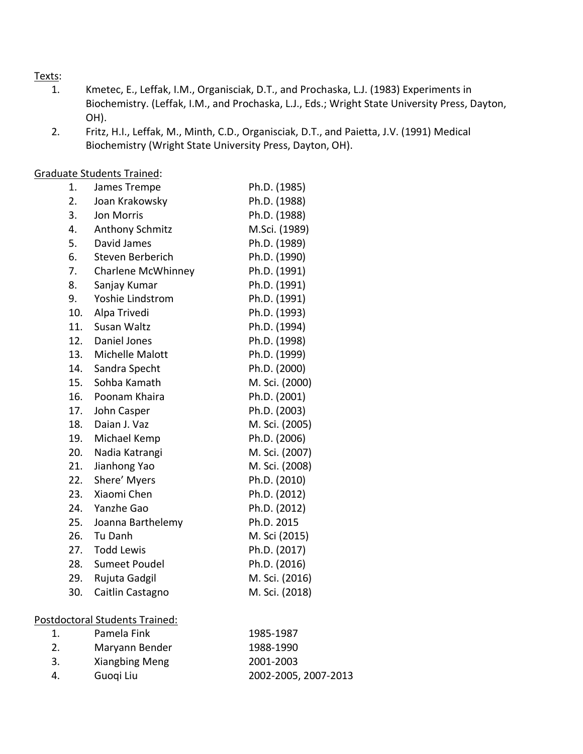### Texts:

- 1. Kmetec, E., Leffak, I.M., Organisciak, D.T., and Prochaska, L.J. (1983) Experiments in Biochemistry. (Leffak, I.M., and Prochaska, L.J., Eds.; Wright State University Press, Dayton, OH).
- 2. Fritz, H.I., Leffak, M., Minth, C.D., Organisciak, D.T., and Paietta, J.V. (1991) Medical Biochemistry (Wright State University Press, Dayton, OH).

Graduate Students Trained:

| 2.<br>Ph.D. (1988)<br>Joan Krakowsky<br>3.<br><b>Jon Morris</b><br>Ph.D. (1988)<br>4.<br>M.Sci. (1989)<br><b>Anthony Schmitz</b><br>5.<br>David James<br>Ph.D. (1989)<br>6.<br>Ph.D. (1990)<br>Steven Berberich<br>Ph.D. (1991)<br>7.<br>Charlene McWhinney<br>8.<br>Ph.D. (1991)<br>Sanjay Kumar<br>9.<br>Yoshie Lindstrom<br>Ph.D. (1991)<br>10.<br>Alpa Trivedi<br>Ph.D. (1993)<br>11.<br>Susan Waltz<br>Ph.D. (1994)<br>12.<br>Daniel Jones<br>Ph.D. (1998)<br>Ph.D. (1999)<br>13.<br>Michelle Malott<br>14.<br>Sandra Specht<br>Ph.D. (2000)<br>M. Sci. (2000)<br>15.<br>Sohba Kamath<br>16.<br>Poonam Khaira<br>Ph.D. (2001)<br>Ph.D. (2003)<br>17.<br>John Casper<br>18.<br>Daian J. Vaz<br>M. Sci. (2005)<br>Ph.D. (2006)<br>19.<br>Michael Kemp<br>20.<br>M. Sci. (2007)<br>Nadia Katrangi<br>21.<br>M. Sci. (2008)<br>Jianhong Yao<br>22.<br>Shere' Myers<br>Ph.D. (2010)<br>Xiaomi Chen<br>23.<br>Ph.D. (2012)<br>24.<br>Yanzhe Gao<br>Ph.D. (2012)<br>Ph.D. 2015<br>25.<br>Joanna Barthelemy<br>26.<br>Tu Danh<br>M. Sci (2015)<br><b>Todd Lewis</b><br>27.<br>Ph.D. (2017)<br>Ph.D. (2016)<br>28.<br><b>Sumeet Poudel</b><br>M. Sci. (2016)<br>29.<br>Rujuta Gadgil<br>30.<br>Caitlin Castagno<br>M. Sci. (2018)<br>Postdoctoral Students Trained:<br>Pamela Fink<br>1.<br>1985-1987<br>2.<br>1988-1990<br>Maryann Bender<br>3.<br>2001-2003 | 1. | James Trempe   | Ph.D. (1985) |
|-----------------------------------------------------------------------------------------------------------------------------------------------------------------------------------------------------------------------------------------------------------------------------------------------------------------------------------------------------------------------------------------------------------------------------------------------------------------------------------------------------------------------------------------------------------------------------------------------------------------------------------------------------------------------------------------------------------------------------------------------------------------------------------------------------------------------------------------------------------------------------------------------------------------------------------------------------------------------------------------------------------------------------------------------------------------------------------------------------------------------------------------------------------------------------------------------------------------------------------------------------------------------------------------------------------------------------------------------------------|----|----------------|--------------|
|                                                                                                                                                                                                                                                                                                                                                                                                                                                                                                                                                                                                                                                                                                                                                                                                                                                                                                                                                                                                                                                                                                                                                                                                                                                                                                                                                           |    |                |              |
|                                                                                                                                                                                                                                                                                                                                                                                                                                                                                                                                                                                                                                                                                                                                                                                                                                                                                                                                                                                                                                                                                                                                                                                                                                                                                                                                                           |    |                |              |
|                                                                                                                                                                                                                                                                                                                                                                                                                                                                                                                                                                                                                                                                                                                                                                                                                                                                                                                                                                                                                                                                                                                                                                                                                                                                                                                                                           |    |                |              |
|                                                                                                                                                                                                                                                                                                                                                                                                                                                                                                                                                                                                                                                                                                                                                                                                                                                                                                                                                                                                                                                                                                                                                                                                                                                                                                                                                           |    |                |              |
|                                                                                                                                                                                                                                                                                                                                                                                                                                                                                                                                                                                                                                                                                                                                                                                                                                                                                                                                                                                                                                                                                                                                                                                                                                                                                                                                                           |    |                |              |
|                                                                                                                                                                                                                                                                                                                                                                                                                                                                                                                                                                                                                                                                                                                                                                                                                                                                                                                                                                                                                                                                                                                                                                                                                                                                                                                                                           |    |                |              |
|                                                                                                                                                                                                                                                                                                                                                                                                                                                                                                                                                                                                                                                                                                                                                                                                                                                                                                                                                                                                                                                                                                                                                                                                                                                                                                                                                           |    |                |              |
|                                                                                                                                                                                                                                                                                                                                                                                                                                                                                                                                                                                                                                                                                                                                                                                                                                                                                                                                                                                                                                                                                                                                                                                                                                                                                                                                                           |    |                |              |
|                                                                                                                                                                                                                                                                                                                                                                                                                                                                                                                                                                                                                                                                                                                                                                                                                                                                                                                                                                                                                                                                                                                                                                                                                                                                                                                                                           |    |                |              |
|                                                                                                                                                                                                                                                                                                                                                                                                                                                                                                                                                                                                                                                                                                                                                                                                                                                                                                                                                                                                                                                                                                                                                                                                                                                                                                                                                           |    |                |              |
|                                                                                                                                                                                                                                                                                                                                                                                                                                                                                                                                                                                                                                                                                                                                                                                                                                                                                                                                                                                                                                                                                                                                                                                                                                                                                                                                                           |    |                |              |
|                                                                                                                                                                                                                                                                                                                                                                                                                                                                                                                                                                                                                                                                                                                                                                                                                                                                                                                                                                                                                                                                                                                                                                                                                                                                                                                                                           |    |                |              |
|                                                                                                                                                                                                                                                                                                                                                                                                                                                                                                                                                                                                                                                                                                                                                                                                                                                                                                                                                                                                                                                                                                                                                                                                                                                                                                                                                           |    |                |              |
|                                                                                                                                                                                                                                                                                                                                                                                                                                                                                                                                                                                                                                                                                                                                                                                                                                                                                                                                                                                                                                                                                                                                                                                                                                                                                                                                                           |    |                |              |
|                                                                                                                                                                                                                                                                                                                                                                                                                                                                                                                                                                                                                                                                                                                                                                                                                                                                                                                                                                                                                                                                                                                                                                                                                                                                                                                                                           |    |                |              |
|                                                                                                                                                                                                                                                                                                                                                                                                                                                                                                                                                                                                                                                                                                                                                                                                                                                                                                                                                                                                                                                                                                                                                                                                                                                                                                                                                           |    |                |              |
|                                                                                                                                                                                                                                                                                                                                                                                                                                                                                                                                                                                                                                                                                                                                                                                                                                                                                                                                                                                                                                                                                                                                                                                                                                                                                                                                                           |    |                |              |
|                                                                                                                                                                                                                                                                                                                                                                                                                                                                                                                                                                                                                                                                                                                                                                                                                                                                                                                                                                                                                                                                                                                                                                                                                                                                                                                                                           |    |                |              |
|                                                                                                                                                                                                                                                                                                                                                                                                                                                                                                                                                                                                                                                                                                                                                                                                                                                                                                                                                                                                                                                                                                                                                                                                                                                                                                                                                           |    |                |              |
|                                                                                                                                                                                                                                                                                                                                                                                                                                                                                                                                                                                                                                                                                                                                                                                                                                                                                                                                                                                                                                                                                                                                                                                                                                                                                                                                                           |    |                |              |
|                                                                                                                                                                                                                                                                                                                                                                                                                                                                                                                                                                                                                                                                                                                                                                                                                                                                                                                                                                                                                                                                                                                                                                                                                                                                                                                                                           |    |                |              |
|                                                                                                                                                                                                                                                                                                                                                                                                                                                                                                                                                                                                                                                                                                                                                                                                                                                                                                                                                                                                                                                                                                                                                                                                                                                                                                                                                           |    |                |              |
|                                                                                                                                                                                                                                                                                                                                                                                                                                                                                                                                                                                                                                                                                                                                                                                                                                                                                                                                                                                                                                                                                                                                                                                                                                                                                                                                                           |    |                |              |
|                                                                                                                                                                                                                                                                                                                                                                                                                                                                                                                                                                                                                                                                                                                                                                                                                                                                                                                                                                                                                                                                                                                                                                                                                                                                                                                                                           |    |                |              |
|                                                                                                                                                                                                                                                                                                                                                                                                                                                                                                                                                                                                                                                                                                                                                                                                                                                                                                                                                                                                                                                                                                                                                                                                                                                                                                                                                           |    |                |              |
|                                                                                                                                                                                                                                                                                                                                                                                                                                                                                                                                                                                                                                                                                                                                                                                                                                                                                                                                                                                                                                                                                                                                                                                                                                                                                                                                                           |    |                |              |
|                                                                                                                                                                                                                                                                                                                                                                                                                                                                                                                                                                                                                                                                                                                                                                                                                                                                                                                                                                                                                                                                                                                                                                                                                                                                                                                                                           |    |                |              |
|                                                                                                                                                                                                                                                                                                                                                                                                                                                                                                                                                                                                                                                                                                                                                                                                                                                                                                                                                                                                                                                                                                                                                                                                                                                                                                                                                           |    |                |              |
|                                                                                                                                                                                                                                                                                                                                                                                                                                                                                                                                                                                                                                                                                                                                                                                                                                                                                                                                                                                                                                                                                                                                                                                                                                                                                                                                                           |    |                |              |
|                                                                                                                                                                                                                                                                                                                                                                                                                                                                                                                                                                                                                                                                                                                                                                                                                                                                                                                                                                                                                                                                                                                                                                                                                                                                                                                                                           |    |                |              |
|                                                                                                                                                                                                                                                                                                                                                                                                                                                                                                                                                                                                                                                                                                                                                                                                                                                                                                                                                                                                                                                                                                                                                                                                                                                                                                                                                           |    |                |              |
|                                                                                                                                                                                                                                                                                                                                                                                                                                                                                                                                                                                                                                                                                                                                                                                                                                                                                                                                                                                                                                                                                                                                                                                                                                                                                                                                                           |    |                |              |
|                                                                                                                                                                                                                                                                                                                                                                                                                                                                                                                                                                                                                                                                                                                                                                                                                                                                                                                                                                                                                                                                                                                                                                                                                                                                                                                                                           |    | Xiangbing Meng |              |

4. Guoqi Liu 2002-2005, 2007-2013